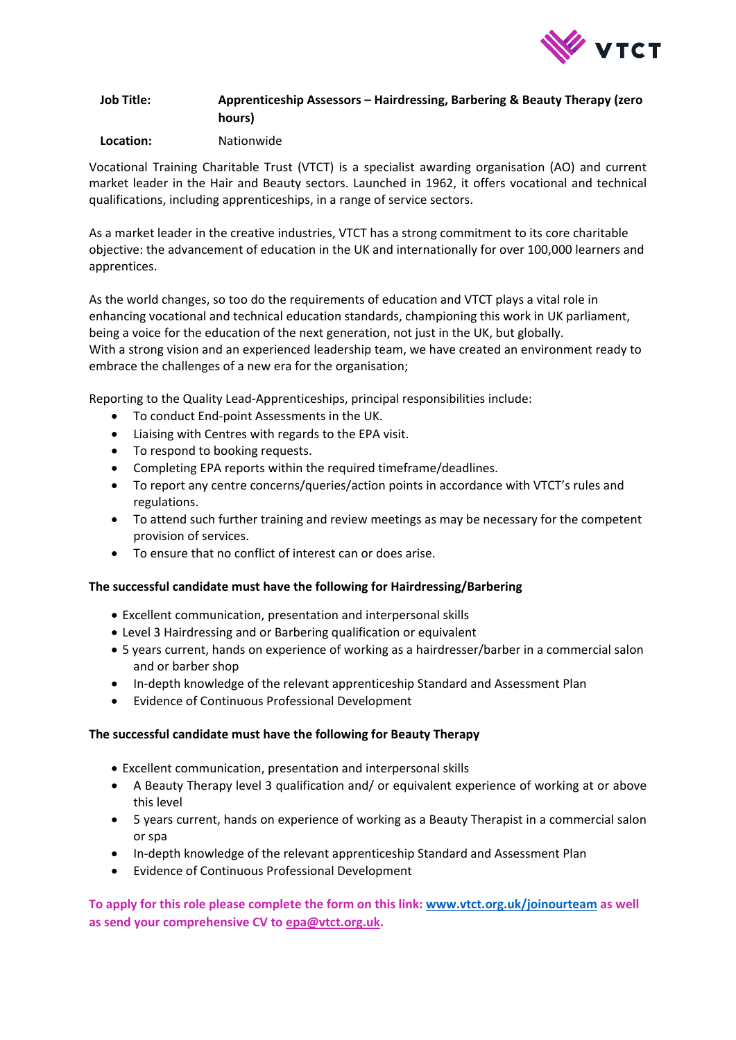

# **Job Title: Apprenticeship Assessors – Hairdressing, Barbering & Beauty Therapy (zero hours)**

### **Location:** Nationwide

Vocational Training Charitable Trust (VTCT) is a specialist awarding organisation (AO) and current market leader in the Hair and Beauty sectors. Launched in 1962, it offers vocational and technical qualifications, including apprenticeships, in a range of service sectors.

As a market leader in the creative industries, VTCT has a strong commitment to its core charitable objective: the advancement of education in the UK and internationally for over 100,000 learners and apprentices.

As the world changes, so too do the requirements of education and VTCT plays a vital role in enhancing vocational and technical education standards, championing this work in UK parliament, being a voice for the education of the next generation, not just in the UK, but globally. With a strong vision and an experienced leadership team, we have created an environment ready to embrace the challenges of a new era for the organisation;

Reporting to the Quality Lead-Apprenticeships, principal responsibilities include:

- To conduct End-point Assessments in the UK.
- Liaising with Centres with regards to the EPA visit.
- To respond to booking requests.
- Completing EPA reports within the required timeframe/deadlines.
- To report any centre concerns/queries/action points in accordance with VTCT's rules and regulations.
- To attend such further training and review meetings as may be necessary for the competent provision of services.
- To ensure that no conflict of interest can or does arise.

#### **The successful candidate must have the following for Hairdressing/Barbering**

- Excellent communication, presentation and interpersonal skills
- Level 3 Hairdressing and or Barbering qualification or equivalent
- 5 years current, hands on experience of working as a hairdresser/barber in a commercial salon and or barber shop
- In-depth knowledge of the relevant apprenticeship Standard and Assessment Plan
- Evidence of Continuous Professional Development

#### **The successful candidate must have the following for Beauty Therapy**

- Excellent communication, presentation and interpersonal skills
- A Beauty Therapy level 3 qualification and/ or equivalent experience of working at or above this level
- 5 years current, hands on experience of working as a Beauty Therapist in a commercial salon or spa
- In-depth knowledge of the relevant apprenticeship Standard and Assessment Plan
- Evidence of Continuous Professional Development

**To apply for this role please complete the form on this link[: www.vtct.org.uk/joinourteam](http://www.vtct.org.uk/joinourteam) as well as send your comprehensive CV to [epa@vtct.org.uk.](mailto:epa@vtct.org.uk)**